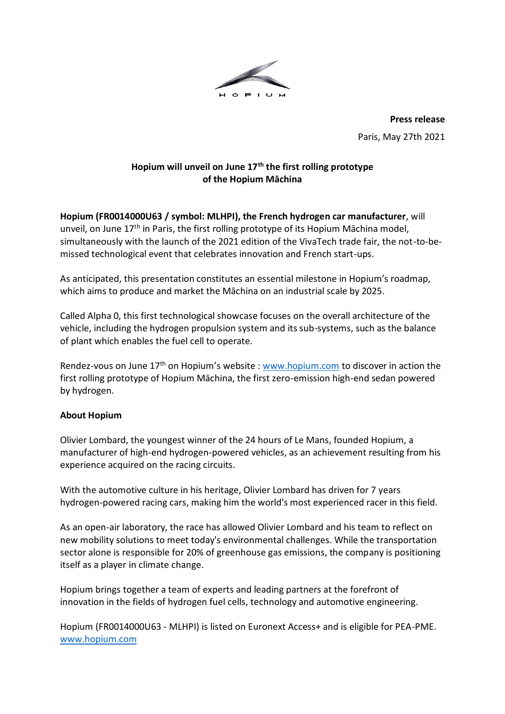

**Press release** Paris, May 27th 2021

## **Hopium will unveil on June 17th the first rolling prototype of the Hopium Māchina**

**Hopium (FR0014000U63 / symbol: MLHPI), the French hydrogen car manufacturer**, will unveil, on June 17<sup>th</sup> in Paris, the first rolling prototype of its Hopium Māchina model, simultaneously with the launch of the 2021 edition of the VivaTech trade fair, the not-to-bemissed technological event that celebrates innovation and French start-ups.

As anticipated, this presentation constitutes an essential milestone in Hopium's roadmap, which aims to produce and market the Māchina on an industrial scale by 2025.

Called Alpha 0, this first technological showcase focuses on the overall architecture of the vehicle, including the hydrogen propulsion system and its sub-systems, such as the balance of plant which enables the fuel cell to operate.

Rendez-vous on June 17<sup>th</sup> on Hopium's website [: www.hopium.com](http://www.hopium.com/) to discover in action the first rolling prototype of Hopium Māchina, the first zero-emission high-end sedan powered by hydrogen.

## **About Hopium**

Olivier Lombard, the youngest winner of the 24 hours of Le Mans, founded Hopium, a manufacturer of high-end hydrogen-powered vehicles, as an achievement resulting from his experience acquired on the racing circuits.

With the automotive culture in his heritage, Olivier Lombard has driven for 7 years hydrogen-powered racing cars, making him the world's most experienced racer in this field.

As an open-air laboratory, the race has allowed Olivier Lombard and his team to reflect on new mobility solutions to meet today's environmental challenges. While the transportation sector alone is responsible for 20% of greenhouse gas emissions, the company is positioning itself as a player in climate change.

Hopium brings together a team of experts and leading partners at the forefront of innovation in the fields of hydrogen fuel cells, technology and automotive engineering.

Hopium (FR0014000U63 - MLHPI) is listed on Euronext Access+ and is eligible for PEA-PME. [www.hopium.com](http://www.hopium.com/)